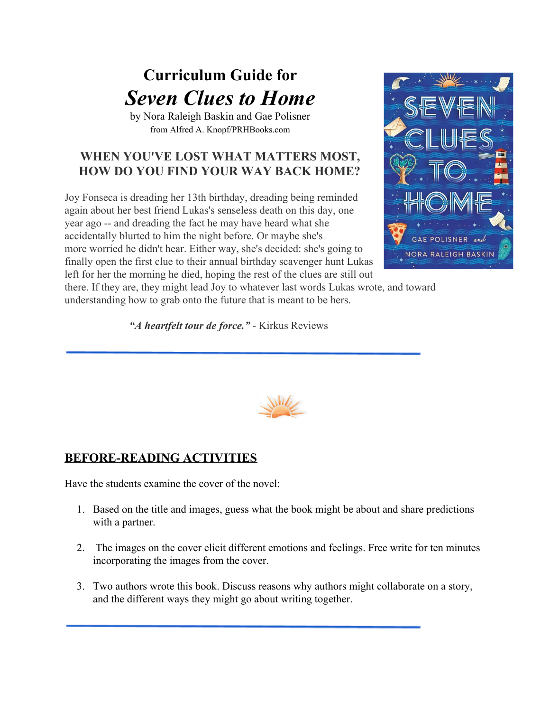# **Curriculum Guide for** *Seven Clues to Home*

by Nora Raleigh Baskin and Gae Polisner from Alfred A. Knopf/PRHBooks.com

# **WHEN YOU'VE LOST WHAT MATTERS MOST, HOW DO YOU FIND YOUR WAY BACK HOME?**

Joy Fonseca is dreading her 13th birthday, dreading being reminded again about her best friend Lukas's senseless death on this day, one year ago -- and dreading the fact he may have heard what she accidentally blurted to him the night before. Or maybe she's more worried he didn't hear. Either way, she's decided: she's going to finally open the first clue to their annual birthday scavenger hunt Lukas left for her the morning he died, hoping the rest of the clues are still out



there. If they are, they might lead Joy to whatever last words Lukas wrote, and toward understanding how to grab onto the future that is meant to be hers.

*"A heartfelt tour de force." -* Kirkus Reviews



# **BEFORE-READING ACTIVITIES**

Have the students examine the cover of the novel:

- 1. Based on the title and images, guess what the book might be about and share predictions with a partner.
- 2. The images on the cover elicit different emotions and feelings. Free write for ten minutes incorporating the images from the cover.
- 3. Two authors wrote this book. Discuss reasons why authors might collaborate on a story, and the different ways they might go about writing together.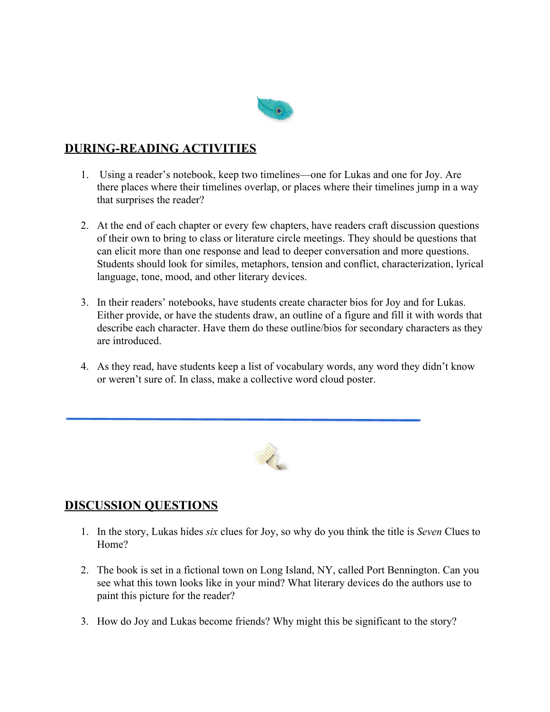

## **DURING-READING ACTIVITIES**

- 1. Using a reader's notebook, keep two timelines—one for Lukas and one for Joy. Are there places where their timelines overlap, or places where their timelines jump in a way that surprises the reader?
- 2. At the end of each chapter or every few chapters, have readers craft discussion questions of their own to bring to class or literature circle meetings. They should be questions that can elicit more than one response and lead to deeper conversation and more questions. Students should look for similes, metaphors, tension and conflict, characterization, lyrical language, tone, mood, and other literary devices.
- 3. In their readers' notebooks, have students create character bios for Joy and for Lukas. Either provide, or have the students draw, an outline of a figure and fill it with words that describe each character. Have them do these outline/bios for secondary characters as they are introduced.
- 4. As they read, have students keep a list of vocabulary words, any word they didn't know or weren't sure of. In class, make a collective word cloud poster.



### **DISCUSSION QUESTIONS**

- 1. In the story, Lukas hides *six* clues for Joy, so why do you think the title is *Seven* Clues to Home?
- 2. The book is set in a fictional town on Long Island, NY, called Port Bennington. Can you see what this town looks like in your mind? What literary devices do the authors use to paint this picture for the reader?
- 3. How do Joy and Lukas become friends? Why might this be significant to the story?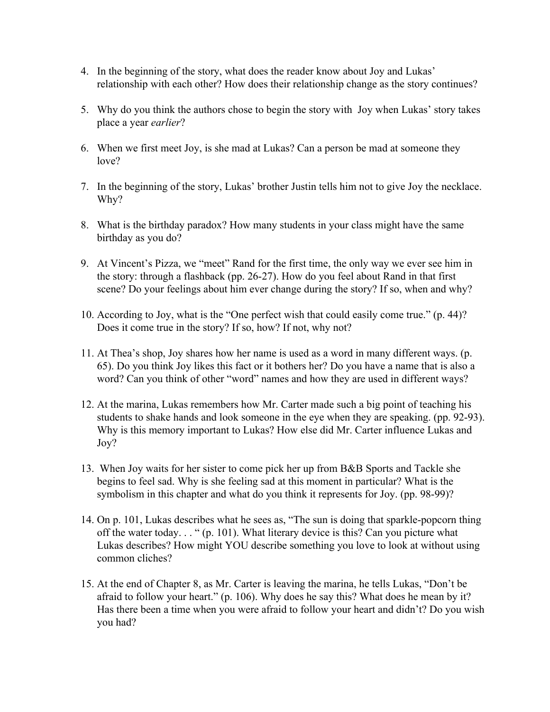- 4. In the beginning of the story, what does the reader know about Joy and Lukas' relationship with each other? How does their relationship change as the story continues?
- 5. Why do you think the authors chose to begin the story with Joy when Lukas' story takes place a year *earlier*?
- 6. When we first meet Joy, is she mad at Lukas? Can a person be mad at someone they love?
- 7. In the beginning of the story, Lukas' brother Justin tells him not to give Joy the necklace. Why?
- 8. What is the birthday paradox? How many students in your class might have the same birthday as you do?
- 9. At Vincent's Pizza, we "meet" Rand for the first time, the only way we ever see him in the story: through a flashback (pp. 26-27). How do you feel about Rand in that first scene? Do your feelings about him ever change during the story? If so, when and why?
- 10. According to Joy, what is the "One perfect wish that could easily come true." (p. 44)? Does it come true in the story? If so, how? If not, why not?
- 11. At Thea's shop, Joy shares how her name is used as a word in many different ways. (p. 65). Do you think Joy likes this fact or it bothers her? Do you have a name that is also a word? Can you think of other "word" names and how they are used in different ways?
- 12. At the marina, Lukas remembers how Mr. Carter made such a big point of teaching his students to shake hands and look someone in the eye when they are speaking. (pp. 92-93). Why is this memory important to Lukas? How else did Mr. Carter influence Lukas and Joy?
- 13. When Joy waits for her sister to come pick her up from B&B Sports and Tackle she begins to feel sad. Why is she feeling sad at this moment in particular? What is the symbolism in this chapter and what do you think it represents for Joy. (pp. 98-99)?
- 14. On p. 101, Lukas describes what he sees as, "The sun is doing that sparkle-popcorn thing off the water today. . . " (p. 101). What literary device is this? Can you picture what Lukas describes? How might YOU describe something you love to look at without using common cliches?
- 15. At the end of Chapter 8, as Mr. Carter is leaving the marina, he tells Lukas, "Don't be afraid to follow your heart." (p. 106). Why does he say this? What does he mean by it? Has there been a time when you were afraid to follow your heart and didn't? Do you wish you had?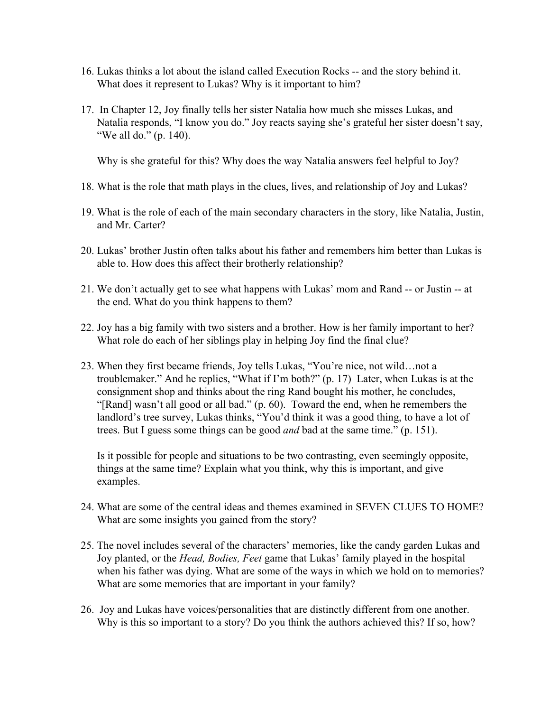- 16. Lukas thinks a lot about the island called Execution Rocks -- and the story behind it. What does it represent to Lukas? Why is it important to him?
- 17. In Chapter 12, Joy finally tells her sister Natalia how much she misses Lukas, and Natalia responds, "I know you do." Joy reacts saying she's grateful her sister doesn't say, "We all do." (p. 140).

Why is she grateful for this? Why does the way Natalia answers feel helpful to Joy?

- 18. What is the role that math plays in the clues, lives, and relationship of Joy and Lukas?
- 19. What is the role of each of the main secondary characters in the story, like Natalia, Justin, and Mr. Carter?
- 20. Lukas' brother Justin often talks about his father and remembers him better than Lukas is able to. How does this affect their brotherly relationship?
- 21. We don't actually get to see what happens with Lukas' mom and Rand -- or Justin -- at the end. What do you think happens to them?
- 22. Joy has a big family with two sisters and a brother. How is her family important to her? What role do each of her siblings play in helping Joy find the final clue?
- 23. When they first became friends, Joy tells Lukas, "You're nice, not wild…not a troublemaker." And he replies, "What if I'm both?" (p. 17) Later, when Lukas is at the consignment shop and thinks about the ring Rand bought his mother, he concludes, "[Rand] wasn't all good or all bad." (p. 60). Toward the end, when he remembers the landlord's tree survey, Lukas thinks, "You'd think it was a good thing, to have a lot of trees. But I guess some things can be good *and* bad at the same time." (p. 151).

Is it possible for people and situations to be two contrasting, even seemingly opposite, things at the same time? Explain what you think, why this is important, and give examples.

- 24. What are some of the central ideas and themes examined in SEVEN CLUES TO HOME? What are some insights you gained from the story?
- 25. The novel includes several of the characters' memories, like the candy garden Lukas and Joy planted, or the *Head, Bodies, Feet* game that Lukas' family played in the hospital when his father was dying. What are some of the ways in which we hold on to memories? What are some memories that are important in your family?
- 26. Joy and Lukas have voices/personalities that are distinctly different from one another. Why is this so important to a story? Do you think the authors achieved this? If so, how?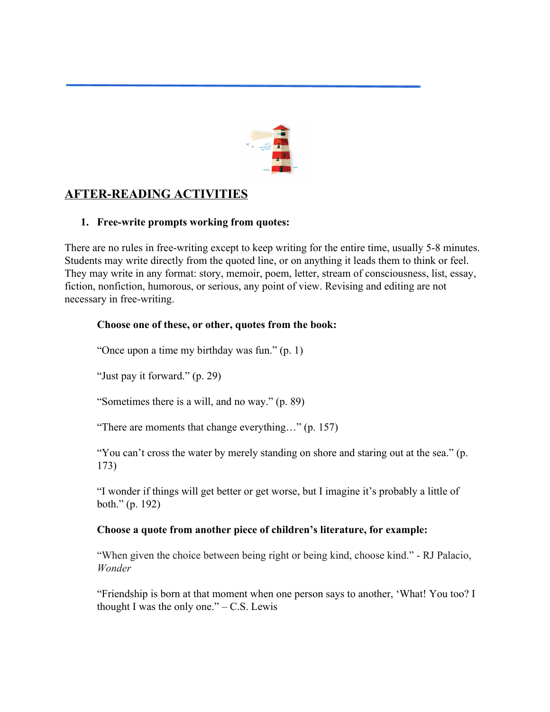

## **AFTER-READING ACTIVITIES**

#### **1. Free-write prompts working from quotes:**

There are no rules in free-writing except to keep writing for the entire time, usually 5-8 minutes. Students may write directly from the quoted line, or on anything it leads them to think or feel. They may write in any format: story, memoir, poem, letter, stream of consciousness, list, essay, fiction, nonfiction, humorous, or serious, any point of view. Revising and editing are not necessary in free-writing.

#### **Choose one of these, or other, quotes from the book:**

"Once upon a time my birthday was fun." (p. 1)

"Just pay it forward." (p. 29)

"Sometimes there is a will, and no way." (p. 89)

"There are moments that change everything…" (p. 157)

"You can't cross the water by merely standing on shore and staring out at the sea." (p. 173)

"I wonder if things will get better or get worse, but I imagine it's probably a little of both." (p. 192)

#### **Choose a quote from another piece of children's literature, for example:**

"When given the choice between being right or being kind, choose kind." - RJ Palacio, *Wonder*

"Friendship is born at that moment when one person says to another, 'What! You too? I thought I was the only one." $-$  C.S. Lewis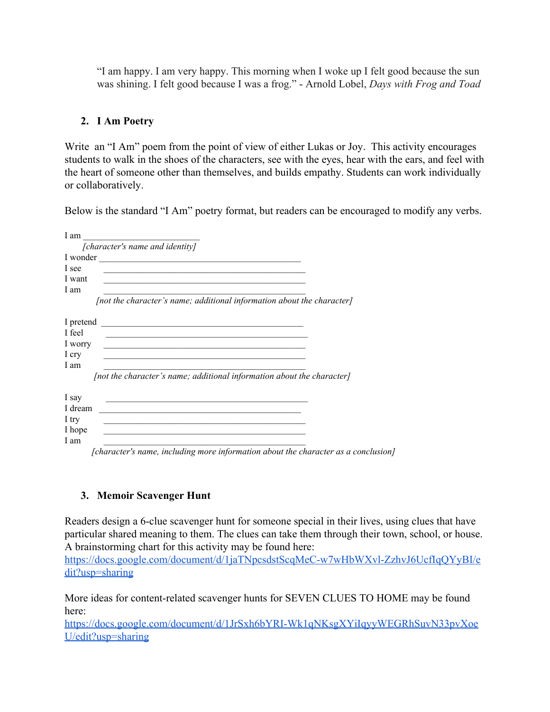"I am happy. I am very happy. This morning when I woke up I felt good because the sun was shining. I felt good because I was a frog." - Arnold Lobel, *Days with Frog and Toad*

#### **2. I Am Poetry**

Write an "I Am" poem from the point of view of either Lukas or Joy. This activity encourages students to walk in the shoes of the characters, see with the eyes, hear with the ears, and feel with the heart of someone other than themselves, and builds empathy. Students can work individually or collaboratively.

Below is the standard "I Am" poetry format, but readers can be encouraged to modify any verbs.

| I am                                                                   |
|------------------------------------------------------------------------|
| [character's name and identity]                                        |
| I wonder                                                               |
| I see                                                                  |
| I want                                                                 |
| I am                                                                   |
| [not the character's name; additional information about the character] |
| I pretend                                                              |
| I feel                                                                 |
| I worry                                                                |
| I cry                                                                  |
| I am                                                                   |
| [not the character's name; additional information about the character] |
| I say                                                                  |
| I dream                                                                |
| 1 try                                                                  |
| I hope                                                                 |
| 1 am                                                                   |

*[character's name, including more information about the character as a conclusion]*

#### **3. Memoir Scavenger Hunt**

Readers design a 6-clue scavenger hunt for someone special in their lives, using clues that have particular shared meaning to them. The clues can take them through their town, school, or house. A brainstorming chart for this activity may be found here:

[https://docs.google.com/document/d/1jaTNpcsdstScqMeC-w7wHbWXvl-ZzhvJ6UcfIqQYyBI/e](https://docs.google.com/document/d/1jaTNpcsdstScqMeC-w7wHbWXvl-ZzhvJ6UcfIqQYyBI/edit?usp=sharing) [dit?usp=sharing](https://docs.google.com/document/d/1jaTNpcsdstScqMeC-w7wHbWXvl-ZzhvJ6UcfIqQYyBI/edit?usp=sharing)

More ideas for content-related scavenger hunts for SEVEN CLUES TO HOME may be found here:

[https://docs.google.com/document/d/1JrSxh6bYRI-Wk1qNKsgXYiIqyyWEGRhSuvN33pvXoe](https://docs.google.com/document/d/1JrSxh6bYRI-Wk1qNKsgXYiIqyyWEGRhSuvN33pvXoeU/edit?usp=sharing) [U/edit?usp=sharing](https://docs.google.com/document/d/1JrSxh6bYRI-Wk1qNKsgXYiIqyyWEGRhSuvN33pvXoeU/edit?usp=sharing)